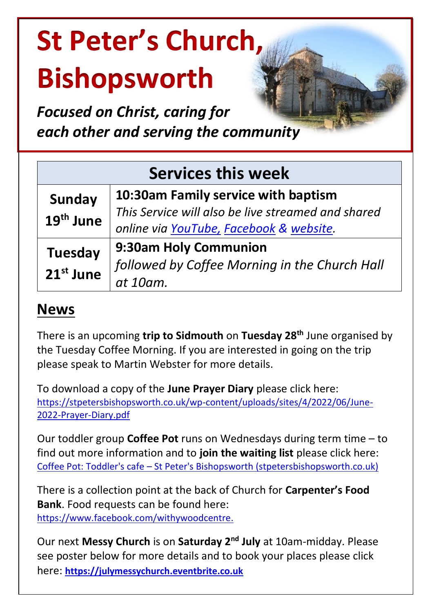## **St Peter's Church, Bishopsworth**

*Focused on Christ, caring for each other and serving the community*

## **Services this week**

| <b>Sunday</b>                    | 10:30am Family service with baptism                |
|----------------------------------|----------------------------------------------------|
| 19 <sup>th</sup> June            | This Service will also be live streamed and shared |
|                                  | online via YouTube, Facebook & website.            |
| <b>Tuesday</b><br>$21^{st}$ June | 9:30am Holy Communion                              |
|                                  | followed by Coffee Morning in the Church Hall      |
|                                  | at 10 am.                                          |

## **News**

There is an upcoming **trip to Sidmouth** on **Tuesday 28th** June organised by the Tuesday Coffee Morning. If you are interested in going on the trip please speak to Martin Webster for more details.

To download a copy of the **June Prayer Diary** please click here: [https://stpetersbishopsworth.co.uk/wp-content/uploads/sites/4/2022/06/June-](https://stpetersbishopsworth.co.uk/wp-content/uploads/sites/4/2022/06/June-2022-Prayer-Diary.pdf)[2022-Prayer-Diary.pdf](https://stpetersbishopsworth.co.uk/wp-content/uploads/sites/4/2022/06/June-2022-Prayer-Diary.pdf)

Our toddler group **Coffee Pot** runs on Wednesdays during term time – to find out more information and to **join the waiting list** please click here: Coffee Pot: Toddler's cafe – [St Peter's Bishopsworth \(stpetersbishopsworth.co.uk\)](https://stpetersbishopsworth.co.uk/children/coffee-pot/)

There is a collection point at the back of Church for **Carpenter's Food Bank**. Food requests can be found here: [https://www.facebook.com/withywoodcentre.](https://www.facebook.com/withywoodcentre)

Our next **Messy Church** is on **Saturday 2nd July** at 10am-midday. Please see poster below for more details and to book your places please click here: **[https://julymessychurch.eventbrite.co.uk](https://julymessychurch.eventbrite.co.uk/)**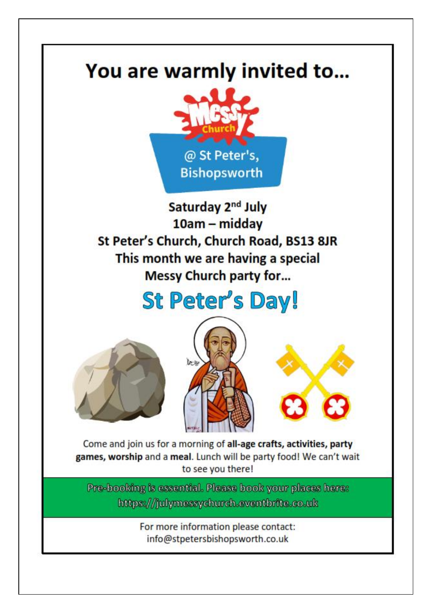